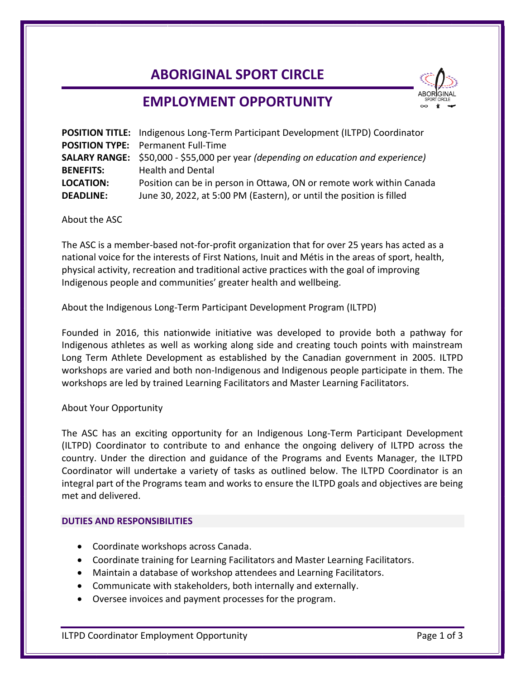# **ABORIGINAL SPORT CIRCLE**



## **EMPLOYMENT OPPORTUNITY**

|                  | <b>POSITION TITLE:</b> Indigenous Long-Term Participant Development (ILTPD) Coordinator   |
|------------------|-------------------------------------------------------------------------------------------|
|                  | <b>POSITION TYPE:</b> Permanent Full-Time                                                 |
|                  | <b>SALARY RANGE:</b> \$50,000 - \$55,000 per year (depending on education and experience) |
| <b>BENEFITS:</b> | <b>Health and Dental</b>                                                                  |
| <b>LOCATION:</b> | Position can be in person in Ottawa, ON or remote work within Canada                      |
| <b>DEADLINE:</b> | June 30, 2022, at 5:00 PM (Eastern), or until the position is filled                      |

About the ASC

The ASC is a member-based not-for-profit organization that for over 25 years has acted as a national voice for the interests of First Nations, Inuit and Métis in the areas of sport, health, physical activity, recreation and traditional active practices with the goal of improving Indigenous people and communities' greater health and wellbeing.

About the Indigenous Long-Term Participant Development Program (ILTPD)

Founded in 2016, this nationwide initiative was developed to provide both a pathway for Indigenous athletes as well as working along side and creating touch points with mainstream Long Term Athlete Development as established by the Canadian government in 2005. ILTPD workshops are varied and both non-Indigenous and Indigenous people participate in them. The workshops are led by trained Learning Facilitators and Master Learning Facilitators.

#### About Your Opportunity

The ASC has an exciting opportunity for an Indigenous Long-Term Participant Development (ILTPD) Coordinator to contribute to and enhance the ongoing delivery of ILTPD across the country. Under the direction and guidance of the Programs and Events Manager, the ILTPD Coordinator will undertake a variety of tasks as outlined below. The ILTPD Coordinator is an integral part of the Programs team and works to ensure the ILTPD goals and objectives are being met and delivered.

#### **DUTIES AND RESPONSIBILITIES**

- Coordinate workshops across Canada.
- Coordinate training for Learning Facilitators and Master Learning Facilitators.
- Maintain a database of workshop attendees and Learning Facilitators.
- Communicate with stakeholders, both internally and externally.
- Oversee invoices and payment processes for the program.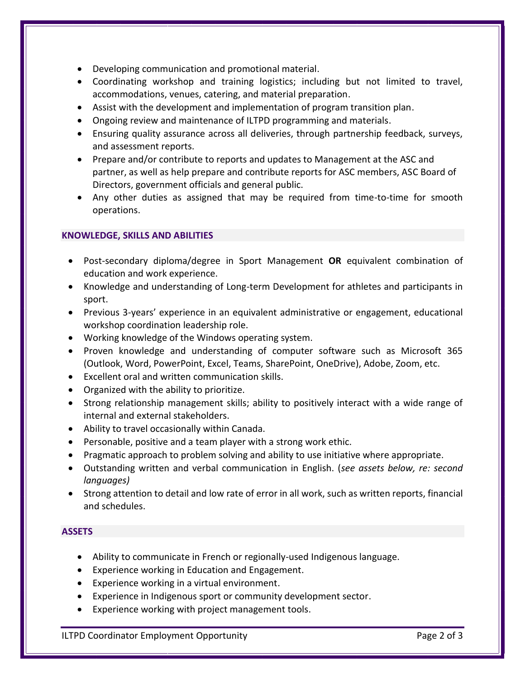- Developing communication and promotional material.
- Coordinating workshop and training logistics; including but not limited to travel, accommodations, venues, catering, and material preparation.
- Assist with the development and implementation of program transition plan.
- Ongoing review and maintenance of ILTPD programming and materials.
- Ensuring quality assurance across all deliveries, through partnership feedback, surveys, and assessment reports.
- Prepare and/or contribute to reports and updates to Management at the ASC and partner, as well as help prepare and contribute reports for ASC members, ASC Board of Directors, government officials and general public.
- Any other duties as assigned that may be required from time-to-time for smooth operations.

## **KNOWLEDGE, SKILLS AND ABILITIES**

- Post-secondary diploma/degree in Sport Management **OR** equivalent combination of education and work experience.
- Knowledge and understanding of Long-term Development for athletes and participants in sport.
- Previous 3-years' experience in an equivalent administrative or engagement, educational workshop coordination leadership role.
- Working knowledge of the Windows operating system.
- Proven knowledge and understanding of computer software such as Microsoft 365 (Outlook, Word, PowerPoint, Excel, Teams, SharePoint, OneDrive), Adobe, Zoom, etc.
- Excellent oral and written communication skills.
- Organized with the ability to prioritize.
- Strong relationship management skills; ability to positively interact with a wide range of internal and external stakeholders.
- Ability to travel occasionally within Canada.
- Personable, positive and a team player with a strong work ethic.
- Pragmatic approach to problem solving and ability to use initiative where appropriate.
- Outstanding written and verbal communication in English. (*see assets below, re: second languages)*
- Strong attention to detail and low rate of error in all work, such as written reports, financial and schedules.

### **ASSETS**

- Ability to communicate in French or regionally-used Indigenous language.
- Experience working in Education and Engagement.
- Experience working in a virtual environment.
- Experience in Indigenous sport or community development sector.
- Experience working with project management tools.

ILTPD Coordinator Employment Opportunity **Page 2 of 3** Page 2 of 3